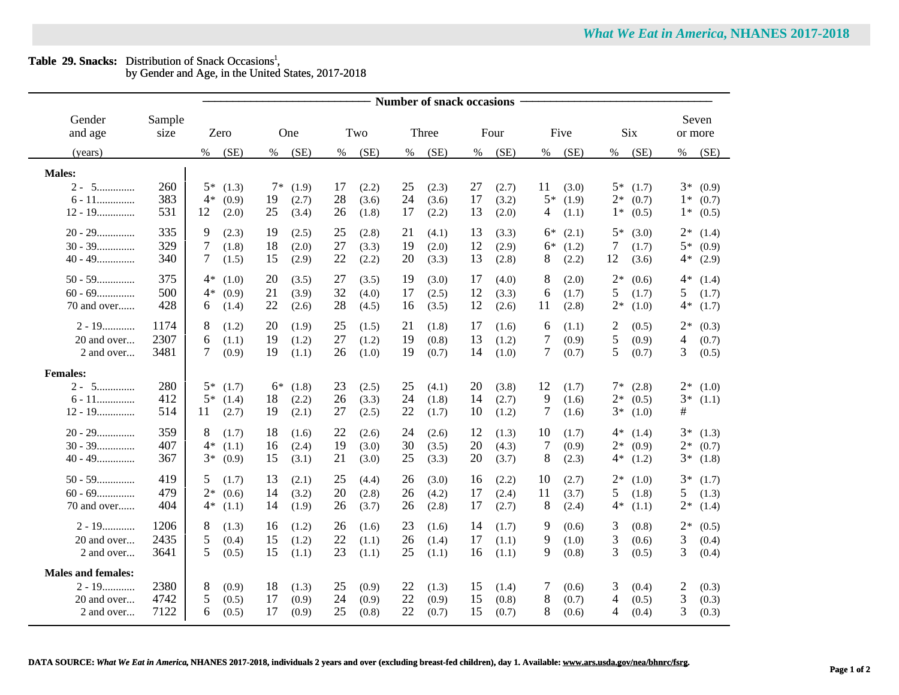| <b>Table 29. Snacks:</b> Distribution of Snack Occasions <sup>1</sup> , |  |  |  |  |  |  |
|-------------------------------------------------------------------------|--|--|--|--|--|--|
|                                                                         |  |  |  |  |  |  |

by Gender and Age, in the United States, 2017-2018

|                           |        | <b>Number of snack occasions</b> |               |             |             |              |               |                         |               |  |  |
|---------------------------|--------|----------------------------------|---------------|-------------|-------------|--------------|---------------|-------------------------|---------------|--|--|
| Gender                    | Sample |                                  |               |             |             |              |               |                         | Seven         |  |  |
| and age                   | size   | Zero                             | One           | Two         | Three       | Four         | Five          | <b>Six</b>              | or more       |  |  |
| (years)                   |        | (SE)<br>%                        | (SE)<br>$\%$  | (SE)<br>%   | (SE)<br>%   | (SE)<br>$\%$ | (SE)<br>$\%$  | (SE)<br>$\%$            | (SE)<br>%     |  |  |
| <b>Males:</b>             |        |                                  |               |             |             |              |               |                         |               |  |  |
| $2 - 5$                   | 260    | $5*$<br>(1.3)                    | $7*$ (1.9)    | 17<br>(2.2) | 25<br>(2.3) | 27<br>(2.7)  | 11<br>(3.0)   | $5*$<br>(1.7)           | $3*(0.9)$     |  |  |
| $6$ - $11$                | 383    | $4*$<br>(0.9)                    | 19<br>(2.7)   | 28<br>(3.6) | 24<br>(3.6) | 17<br>(3.2)  | $5*$<br>(1.9) | $2*$<br>(0.7)           | $1*$<br>(0.7) |  |  |
| $12 - 19$                 | 531    | 12<br>(2.0)                      | 25<br>(3.4)   | 26<br>(1.8) | 17<br>(2.2) | 13<br>(2.0)  | 4<br>(1.1)    | $1*$<br>(0.5)           | $1*$<br>(0.5) |  |  |
| $20 - 29$                 | 335    | 9<br>(2.3)                       | 19<br>(2.5)   | 25<br>(2.8) | 21<br>(4.1) | 13<br>(3.3)  | 6*<br>(2.1)   | $5*$<br>(3.0)           | $2*$<br>(1.4) |  |  |
| $30 - 39$                 | 329    | 7<br>(1.8)                       | 18<br>(2.0)   | 27<br>(3.3) | 19<br>(2.0) | 12<br>(2.9)  | $6*$<br>(1.2) | $\tau$<br>(1.7)         | $5*$<br>(0.9) |  |  |
| $40 - 49$                 | 340    | 7<br>(1.5)                       | 15<br>(2.9)   | 22<br>(2.2) | 20<br>(3.3) | 13<br>(2.8)  | 8<br>(2.2)    | 12<br>(3.6)             | 4*<br>(2.9)   |  |  |
| $50 - 59$                 | 375    | 4*<br>(1.0)                      | 20<br>(3.5)   | 27<br>(3.5) | 19<br>(3.0) | 17<br>(4.0)  | 8<br>(2.0)    | $2*$<br>(0.6)           | $4*$<br>(1.4) |  |  |
| $60 - 69$                 | 500    | $4*$<br>(0.9)                    | 21<br>(3.9)   | 32<br>(4.0) | 17<br>(2.5) | 12<br>(3.3)  | 6<br>(1.7)    | 5<br>(1.7)              | 5<br>(1.7)    |  |  |
| 70 and over               | 428    | 6<br>(1.4)                       | 22<br>(2.6)   | 28<br>(4.5) | 16<br>(3.5) | 12<br>(2.6)  | 11<br>(2.8)   | $2*$<br>(1.0)           | $4*$<br>(1.7) |  |  |
| $2 - 19$                  | 1174   | 8<br>(1.2)                       | 20<br>(1.9)   | 25<br>(1.5) | 21<br>(1.8) | 17<br>(1.6)  | 6<br>(1.1)    | $\overline{c}$<br>(0.5) | $2*$<br>(0.3) |  |  |
| 20 and over               | 2307   | 6<br>(1.1)                       | 19<br>(1.2)   | 27<br>(1.2) | 19<br>(0.8) | 13<br>(1.2)  | 7<br>(0.9)    | 5<br>(0.9)              | 4<br>(0.7)    |  |  |
| 2 and over                | 3481   | 7<br>(0.9)                       | 19<br>(1.1)   | 26<br>(1.0) | 19<br>(0.7) | 14<br>(1.0)  | 7<br>(0.7)    | 5<br>(0.7)              | 3<br>(0.5)    |  |  |
| <b>Females:</b>           |        |                                  |               |             |             |              |               |                         |               |  |  |
| $2 - 5$                   | 280    | $5*$<br>(1.7)                    | $6*$<br>(1.8) | 23<br>(2.5) | 25<br>(4.1) | 20<br>(3.8)  | 12<br>(1.7)   | $7*$<br>(2.8)           | $2*$ (1.0)    |  |  |
| $6 - 11$                  | 412    | $5*$<br>(1.4)                    | 18<br>(2.2)   | 26<br>(3.3) | 24<br>(1.8) | 14<br>(2.7)  | 9<br>(1.6)    | $2*$<br>(0.5)           | $3*$<br>(1.1) |  |  |
| $12 - 19$                 | 514    | 11<br>(2.7)                      | 19<br>(2.1)   | 27<br>(2.5) | 22<br>(1.7) | 10<br>(1.2)  | 7<br>(1.6)    | $3*$<br>(1.0)           | #             |  |  |
| $20 - 29$                 | 359    | 8<br>(1.7)                       | 18<br>(1.6)   | 22<br>(2.6) | 24<br>(2.6) | 12<br>(1.3)  | 10<br>(1.7)   | $4*$<br>(1.4)           | $3*$<br>(1.3) |  |  |
| $30 - 39$                 | 407    | $4*$<br>(1.1)                    | 16<br>(2.4)   | 19<br>(3.0) | 30<br>(3.5) | 20<br>(4.3)  | 7<br>(0.9)    | $2*$<br>(0.9)           | $2*$<br>(0.7) |  |  |
| $40 - 49$                 | 367    | $3*$<br>(0.9)                    | 15<br>(3.1)   | 21<br>(3.0) | 25<br>(3.3) | 20<br>(3.7)  | 8<br>(2.3)    | $4*$<br>(1.2)           | $3*$<br>(1.8) |  |  |
| $50 - 59$                 | 419    | 5<br>(1.7)                       | 13<br>(2.1)   | 25<br>(4.4) | 26<br>(3.0) | 16<br>(2.2)  | 10<br>(2.7)   | $2*$<br>(1.0)           | $3*$<br>(1.7) |  |  |
| $60 - 69$                 | 479    | $2*$<br>(0.6)                    | 14<br>(3.2)   | 20<br>(2.8) | 26<br>(4.2) | 17<br>(2.4)  | 11<br>(3.7)   | 5<br>(1.8)              | 5<br>(1.3)    |  |  |
| 70 and over               | 404    | $4*$<br>(1.1)                    | 14<br>(1.9)   | 26<br>(3.7) | 26<br>(2.8) | 17<br>(2.7)  | 8<br>(2.4)    | $4*$<br>(1.1)           | $2*$<br>(1.4) |  |  |
| $2 - 19$                  | 1206   | 8<br>(1.3)                       | 16<br>(1.2)   | 26<br>(1.6) | 23<br>(1.6) | 14<br>(1.7)  | 9<br>(0.6)    | 3<br>(0.8)              | $2*$<br>(0.5) |  |  |
| 20 and over               | 2435   | 5<br>(0.4)                       | 15<br>(1.2)   | 22<br>(1.1) | 26<br>(1.4) | 17<br>(1.1)  | 9<br>(1.0)    | 3<br>(0.6)              | 3<br>(0.4)    |  |  |
| 2 and over                | 3641   | 5<br>(0.5)                       | 15<br>(1.1)   | 23<br>(1.1) | 25<br>(1.1) | 16<br>(1.1)  | 9<br>(0.8)    | 3<br>(0.5)              | 3<br>(0.4)    |  |  |
| <b>Males and females:</b> |        |                                  |               |             |             |              |               |                         |               |  |  |
| $2 - 19$                  | 2380   | 8<br>(0.9)                       | 18<br>(1.3)   | 25<br>(0.9) | 22<br>(1.3) | 15<br>(1.4)  | 7<br>(0.6)    | 3<br>(0.4)              | 2<br>(0.3)    |  |  |
| 20 and over               | 4742   | 5<br>(0.5)                       | 17<br>(0.9)   | 24<br>(0.9) | 22<br>(0.9) | 15<br>(0.8)  | 8<br>(0.7)    | 4<br>(0.5)              | 3<br>(0.3)    |  |  |
| 2 and over                | 7122   | 6<br>(0.5)                       | 17<br>(0.9)   | 25<br>(0.8) | 22<br>(0.7) | 15<br>(0.7)  | 8<br>(0.6)    | 4<br>(0.4)              | 3<br>(0.3)    |  |  |